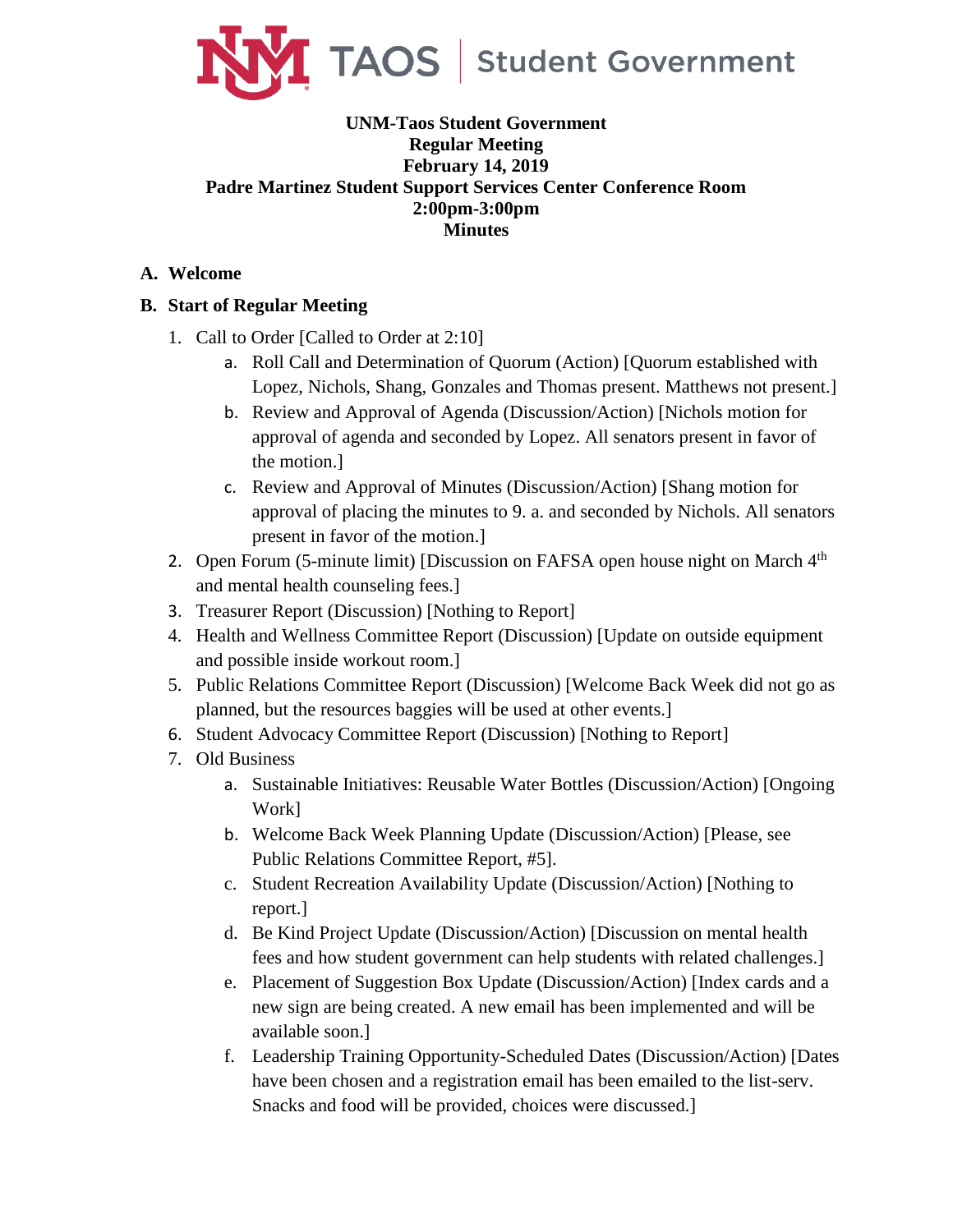

## **UNM-Taos Student Government Regular Meeting February 14, 2019 Padre Martinez Student Support Services Center Conference Room 2:00pm-3:00pm Minutes**

## **A. Welcome**

## **B. Start of Regular Meeting**

- 1. Call to Order [Called to Order at 2:10]
	- a. Roll Call and Determination of Quorum (Action) [Quorum established with Lopez, Nichols, Shang, Gonzales and Thomas present. Matthews not present.]
	- b. Review and Approval of Agenda (Discussion/Action) [Nichols motion for approval of agenda and seconded by Lopez. All senators present in favor of the motion.]
	- c. Review and Approval of Minutes (Discussion/Action) [Shang motion for approval of placing the minutes to 9. a. and seconded by Nichols. All senators present in favor of the motion.]
- 2. Open Forum (5-minute limit) [Discussion on FAFSA open house night on March 4<sup>th</sup> and mental health counseling fees.]
- 3. Treasurer Report (Discussion) [Nothing to Report]
- 4. Health and Wellness Committee Report (Discussion) [Update on outside equipment and possible inside workout room.]
- 5. Public Relations Committee Report (Discussion) [Welcome Back Week did not go as planned, but the resources baggies will be used at other events.]
- 6. Student Advocacy Committee Report (Discussion) [Nothing to Report]
- 7. Old Business
	- a. Sustainable Initiatives: Reusable Water Bottles (Discussion/Action) [Ongoing Work]
	- b. Welcome Back Week Planning Update (Discussion/Action) [Please, see Public Relations Committee Report, #5].
	- c. Student Recreation Availability Update (Discussion/Action) [Nothing to report.]
	- d. Be Kind Project Update (Discussion/Action) [Discussion on mental health fees and how student government can help students with related challenges.]
	- e. Placement of Suggestion Box Update (Discussion/Action) [Index cards and a new sign are being created. A new email has been implemented and will be available soon.]
	- f. Leadership Training Opportunity-Scheduled Dates (Discussion/Action) [Dates have been chosen and a registration email has been emailed to the list-serv. Snacks and food will be provided, choices were discussed.]